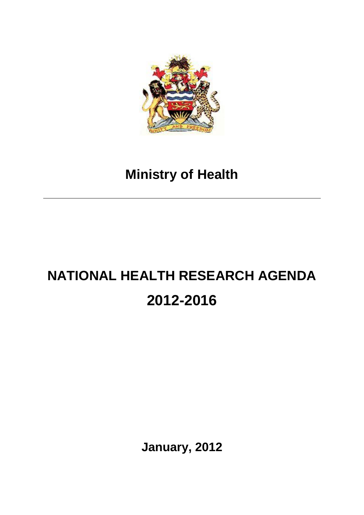

## **Ministry of Health**

# **NATIONAL HEALTH RESEARCH AGENDA 2012-2016**

**January, 2012**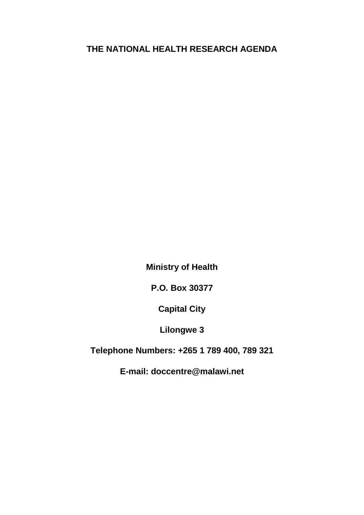## **THE NATIONAL HEALTH RESEARCH AGENDA**

**Ministry of Health**

**P.O. Box 30377**

**Capital City**

**Lilongwe 3**

**Telephone Numbers: +265 1 789 400, 789 321**

**E-mail: doccentre@malawi.net**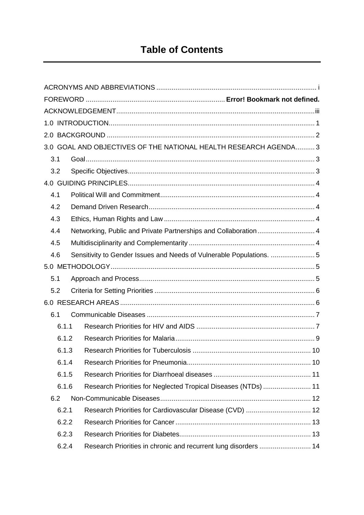|       | 3.0 GOAL AND OBJECTIVES OF THE NATIONAL HEALTH RESEARCH AGENDA 3     |  |
|-------|----------------------------------------------------------------------|--|
| 3.1   |                                                                      |  |
| 3.2   |                                                                      |  |
|       |                                                                      |  |
| 4.1   |                                                                      |  |
| 4.2   |                                                                      |  |
| 4.3   |                                                                      |  |
| 4.4   | Networking, Public and Private Partnerships and Collaboration 4      |  |
| 4.5   |                                                                      |  |
| 4.6   | Sensitivity to Gender Issues and Needs of Vulnerable Populations.  5 |  |
|       |                                                                      |  |
| 5.1   |                                                                      |  |
| 5.2   |                                                                      |  |
|       |                                                                      |  |
| 6.1   |                                                                      |  |
| 6.1.1 |                                                                      |  |
| 6.1.2 |                                                                      |  |
| 6.1.3 |                                                                      |  |
| 6.1.4 |                                                                      |  |
| 6.1.5 |                                                                      |  |
| 6.1.6 | Research Priorities for Neglected Tropical Diseases (NTDs)  11       |  |
| 6.2   |                                                                      |  |
| 6.2.1 | Research Priorities for Cardiovascular Disease (CVD)  12             |  |
| 6.2.2 |                                                                      |  |
| 6.2.3 |                                                                      |  |
| 6.2.4 | Research Priorities in chronic and recurrent lung disorders  14      |  |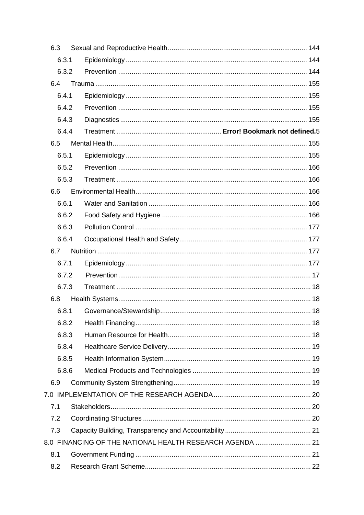| 6.3   |                                                          |  |  |  |  |
|-------|----------------------------------------------------------|--|--|--|--|
| 6.3.1 |                                                          |  |  |  |  |
| 6.3.2 |                                                          |  |  |  |  |
| 6.4   |                                                          |  |  |  |  |
| 6.4.1 |                                                          |  |  |  |  |
| 6.4.2 |                                                          |  |  |  |  |
| 6.4.3 |                                                          |  |  |  |  |
| 6.4.4 |                                                          |  |  |  |  |
| 6.5   |                                                          |  |  |  |  |
| 6.5.1 |                                                          |  |  |  |  |
| 6.5.2 |                                                          |  |  |  |  |
| 6.5.3 |                                                          |  |  |  |  |
| 6.6   |                                                          |  |  |  |  |
| 6.6.1 |                                                          |  |  |  |  |
| 6.6.2 |                                                          |  |  |  |  |
| 6.6.3 |                                                          |  |  |  |  |
| 6.6.4 |                                                          |  |  |  |  |
| 6.7   |                                                          |  |  |  |  |
| 6.7.1 |                                                          |  |  |  |  |
| 6.7.2 |                                                          |  |  |  |  |
| 6.7.3 |                                                          |  |  |  |  |
| 6.8   |                                                          |  |  |  |  |
| 6.8.1 |                                                          |  |  |  |  |
| 6.8.2 |                                                          |  |  |  |  |
| 6.8.3 |                                                          |  |  |  |  |
| 6.8.4 |                                                          |  |  |  |  |
| 6.8.5 |                                                          |  |  |  |  |
| 6.8.6 |                                                          |  |  |  |  |
| 6.9   |                                                          |  |  |  |  |
|       |                                                          |  |  |  |  |
| 7.1   |                                                          |  |  |  |  |
| 7.2   |                                                          |  |  |  |  |
| 7.3   |                                                          |  |  |  |  |
|       | 8.0 FINANCING OF THE NATIONAL HEALTH RESEARCH AGENDA  21 |  |  |  |  |
| 8.1   |                                                          |  |  |  |  |
| 8.2   |                                                          |  |  |  |  |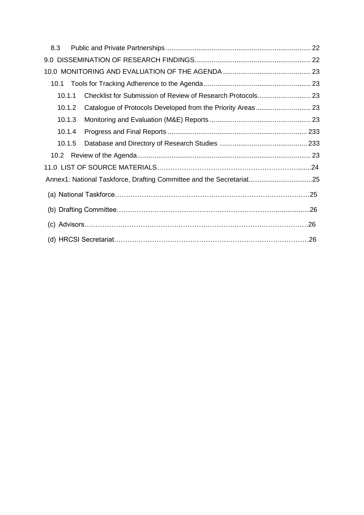| 8.3    |  |  |
|--------|--|--|
|        |  |  |
|        |  |  |
| 10.1   |  |  |
| 10.1.1 |  |  |
| 10.1.2 |  |  |
| 10.1.3 |  |  |
| 10.1.4 |  |  |
| 10.1.5 |  |  |
|        |  |  |
|        |  |  |
|        |  |  |
|        |  |  |
|        |  |  |
|        |  |  |
|        |  |  |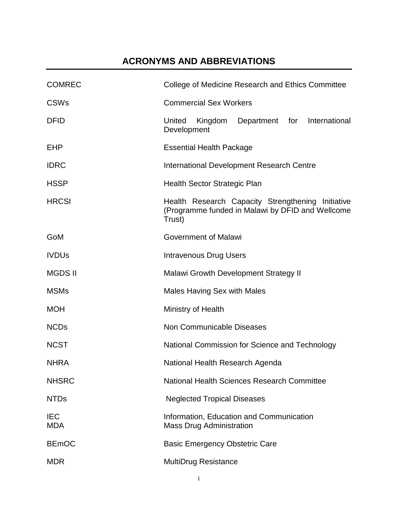## **ACRONYMS AND ABBREVIATIONS**

<span id="page-5-0"></span>

| <b>COMREC</b>            | College of Medicine Research and Ethics Committee                                                               |
|--------------------------|-----------------------------------------------------------------------------------------------------------------|
| <b>CSWs</b>              | <b>Commercial Sex Workers</b>                                                                                   |
| <b>DFID</b>              | United<br>Kingdom<br>Department for<br>International<br>Development                                             |
| <b>EHP</b>               | <b>Essential Health Package</b>                                                                                 |
| <b>IDRC</b>              | <b>International Development Research Centre</b>                                                                |
| <b>HSSP</b>              | <b>Health Sector Strategic Plan</b>                                                                             |
| <b>HRCSI</b>             | Health Research Capacity Strengthening Initiative<br>(Programme funded in Malawi by DFID and Wellcome<br>Trust) |
| GoM                      | <b>Government of Malawi</b>                                                                                     |
| <b>IVDUs</b>             | Intravenous Drug Users                                                                                          |
| <b>MGDS II</b>           | <b>Malawi Growth Development Strategy II</b>                                                                    |
| <b>MSMs</b>              | <b>Males Having Sex with Males</b>                                                                              |
| <b>MOH</b>               | Ministry of Health                                                                                              |
| <b>NCDs</b>              | <b>Non Communicable Diseases</b>                                                                                |
| <b>NCST</b>              | National Commission for Science and Technology                                                                  |
| <b>NHRA</b>              | National Health Research Agenda                                                                                 |
| <b>NHSRC</b>             | National Health Sciences Research Committee                                                                     |
| <b>NTDs</b>              | <b>Neglected Tropical Diseases</b>                                                                              |
| <b>IEC</b><br><b>MDA</b> | Information, Education and Communication<br><b>Mass Drug Administration</b>                                     |
| <b>BEmOC</b>             | <b>Basic Emergency Obstetric Care</b>                                                                           |
| <b>MDR</b>               | <b>MultiDrug Resistance</b>                                                                                     |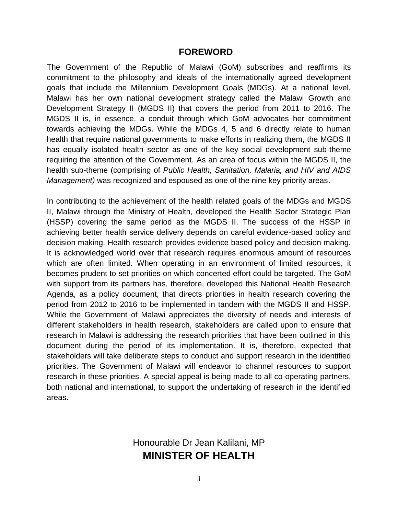#### **FOREWORD**

The Government of the Republic of Malawi (GoM) subscribes and reaffirms its commitment to the philosophy and ideals of the internationally agreed development goals that include the Millennium Development Goals (MDGs). At a national level, Malawi has her own national development strategy called the Malawi Growth and Development Strategy II (MGDS II) that covers the period from 2011 to 2016. The MGDS II is, in essence, a conduit through which GoM advocates her commitment towards achieving the MDGs. While the MDGs 4, 5 and 6 directly relate to human health that require national governments to make efforts in realizing them, the MGDS II has equally isolated health sector as one of the key social development sub-theme requiring the attention of the Government. As an area of focus within the MGDS II, the health sub-theme (comprising of *Public Health, Sanitation, Malaria, and HIV and AIDS Management)* was recognized and espoused as one of the nine key priority areas.

In contributing to the achievement of the health related goals of the MDGs and MGDS II, Malawi through the Ministry of Health, developed the Health Sector Strategic Plan (HSSP) covering the same period as the MGDS II. The success of the HSSP in achieving better health service delivery depends on careful evidence-based policy and decision making. Health research provides evidence based policy and decision making. It is acknowledged world over that research requires enormous amount of resources which are often limited. When operating in an environment of limited resources, it becomes prudent to set priorities on which concerted effort could be targeted. The GoM with support from its partners has, therefore, developed this National Health Research Agenda, as a policy document, that directs priorities in health research covering the period from 2012 to 2016 to be implemented in tandem with the MGDS II and HSSP. While the Government of Malawi appreciates the diversity of needs and interests of different stakeholders in health research, stakeholders are called upon to ensure that research in Malawi is addressing the research priorities that have been outlined in this document during the period of its implementation. It is, therefore, expected that stakeholders will take deliberate steps to conduct and support research in the identified priorities. The Government of Malawi will endeavor to channel resources to support research in these priorities. A special appeal is being made to all co-operating partners, both national and international, to support the undertaking of research in the identified areas.

## Honourable Dr Jean Kalilani, MP **MINISTER OF HEALTH**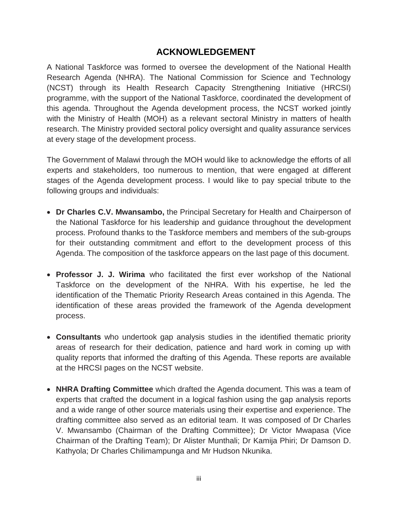## **ACKNOWLEDGEMENT**

<span id="page-7-0"></span>A National Taskforce was formed to oversee the development of the National Health Research Agenda (NHRA). The National Commission for Science and Technology (NCST) through its Health Research Capacity Strengthening Initiative (HRCSI) programme, with the support of the National Taskforce, coordinated the development of this agenda. Throughout the Agenda development process, the NCST worked jointly with the Ministry of Health (MOH) as a relevant sectoral Ministry in matters of health research. The Ministry provided sectoral policy oversight and quality assurance services at every stage of the development process.

The Government of Malawi through the MOH would like to acknowledge the efforts of all experts and stakeholders, too numerous to mention, that were engaged at different stages of the Agenda development process. I would like to pay special tribute to the following groups and individuals:

- **Dr Charles C.V. Mwansambo,** the Principal Secretary for Health and Chairperson of the National Taskforce for his leadership and guidance throughout the development process. Profound thanks to the Taskforce members and members of the sub-groups for their outstanding commitment and effort to the development process of this Agenda. The composition of the taskforce appears on the last page of this document.
- **Professor J. J. Wirima** who facilitated the first ever workshop of the National Taskforce on the development of the NHRA. With his expertise, he led the identification of the Thematic Priority Research Areas contained in this Agenda. The identification of these areas provided the framework of the Agenda development process.
- **Consultants** who undertook gap analysis studies in the identified thematic priority areas of research for their dedication, patience and hard work in coming up with quality reports that informed the drafting of this Agenda. These reports are available at the HRCSI pages on the NCST website.
- **NHRA Drafting Committee** which drafted the Agenda document. This was a team of experts that crafted the document in a logical fashion using the gap analysis reports and a wide range of other source materials using their expertise and experience. The drafting committee also served as an editorial team. It was composed of Dr Charles V. Mwansambo (Chairman of the Drafting Committee); Dr Victor Mwapasa (Vice Chairman of the Drafting Team); Dr Alister Munthali; Dr Kamija Phiri; Dr Damson D. Kathyola; Dr Charles Chilimampunga and Mr Hudson Nkunika.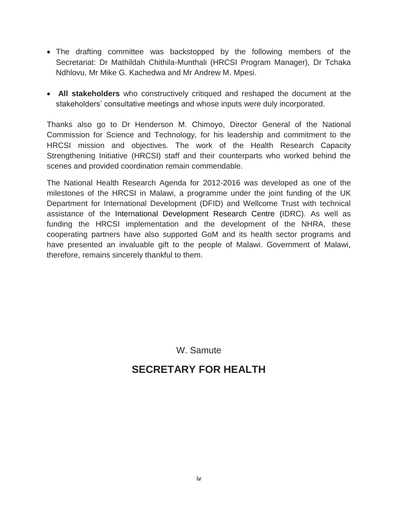- The drafting committee was backstopped by the following members of the Secretariat: Dr Mathildah Chithila-Munthali (HRCSI Program Manager), Dr Tchaka Ndhlovu, Mr Mike G. Kachedwa and Mr Andrew M. Mpesi.
- **All stakeholders** who constructively critiqued and reshaped the document at the stakeholders' consultative meetings and whose inputs were duly incorporated.

Thanks also go to Dr Henderson M. Chimoyo, Director General of the National Commission for Science and Technology, for his leadership and commitment to the HRCSI mission and objectives. The work of the Health Research Capacity Strengthening Initiative (HRCSI) staff and their counterparts who worked behind the scenes and provided coordination remain commendable.

The National Health Research Agenda for 2012-2016 was developed as one of the milestones of the HRCSI in Malawi, a programme under the joint funding of the UK Department for International Development (DFID) and Wellcome Trust with technical assistance of the International Development Research Centre (IDRC). As well as funding the HRCSI implementation and the development of the NHRA, these cooperating partners have also supported GoM and its health sector programs and have presented an invaluable gift to the people of Malawi. Government of Malawi, therefore, remains sincerely thankful to them.

W. Samute

## **SECRETARY FOR HEALTH**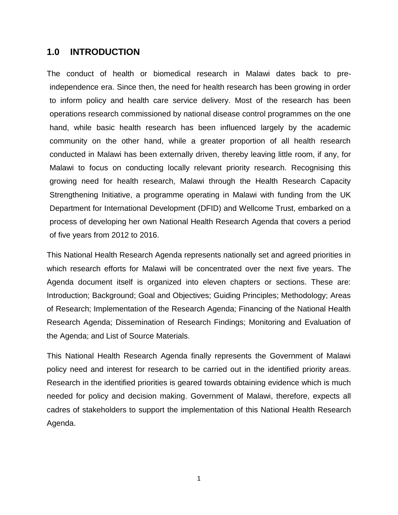#### **1.0 INTRODUCTION**

<span id="page-9-0"></span>The conduct of health or biomedical research in Malawi dates back to preindependence era. Since then, the need for health research has been growing in order to inform policy and health care service delivery. Most of the research has been operations research commissioned by national disease control programmes on the one hand, while basic health research has been influenced largely by the academic community on the other hand, while a greater proportion of all health research conducted in Malawi has been externally driven, thereby leaving little room, if any, for Malawi to focus on conducting locally relevant priority research. Recognising this growing need for health research, Malawi through the Health Research Capacity Strengthening Initiative, a programme operating in Malawi with funding from the UK Department for International Development (DFID) and Wellcome Trust, embarked on a process of developing her own National Health Research Agenda that covers a period of five years from 2012 to 2016.

This National Health Research Agenda represents nationally set and agreed priorities in which research efforts for Malawi will be concentrated over the next five years. The Agenda document itself is organized into eleven chapters or sections. These are: Introduction; Background; Goal and Objectives; Guiding Principles; Methodology; Areas of Research; Implementation of the Research Agenda; Financing of the National Health Research Agenda; Dissemination of Research Findings; Monitoring and Evaluation of the Agenda; and List of Source Materials.

This National Health Research Agenda finally represents the Government of Malawi policy need and interest for research to be carried out in the identified priority areas. Research in the identified priorities is geared towards obtaining evidence which is much needed for policy and decision making. Government of Malawi, therefore, expects all cadres of stakeholders to support the implementation of this National Health Research Agenda.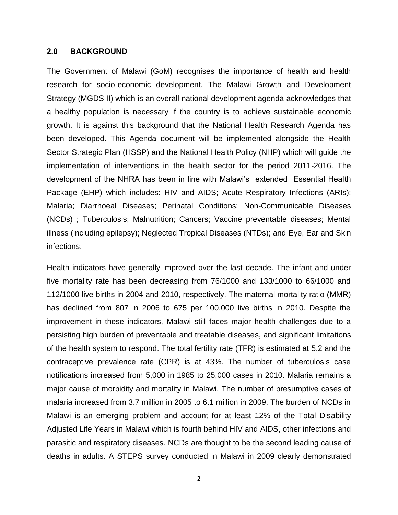#### **2.0 BACKGROUND**

<span id="page-10-0"></span>The Government of Malawi (GoM) recognises the importance of health and health research for socio-economic development. The Malawi Growth and Development Strategy (MGDS II) which is an overall national development agenda acknowledges that a healthy population is necessary if the country is to achieve sustainable economic growth. It is against this background that the National Health Research Agenda has been developed. This Agenda document will be implemented alongside the Health Sector Strategic Plan (HSSP) and the National Health Policy (NHP) which will guide the implementation of interventions in the health sector for the period 2011-2016. The development of the NHRA has been in line with Malawi's extended Essential Health Package (EHP) which includes: HIV and AIDS; Acute Respiratory Infections (ARIs); Malaria; Diarrhoeal Diseases; Perinatal Conditions; Non-Communicable Diseases (NCDs) ; Tuberculosis; Malnutrition; Cancers; Vaccine preventable diseases; Mental illness (including epilepsy); Neglected Tropical Diseases (NTDs); and Eye, Ear and Skin infections.

Health indicators have generally improved over the last decade. The infant and under five mortality rate has been decreasing from 76/1000 and 133/1000 to 66/1000 and 112/1000 live births in 2004 and 2010, respectively. The maternal mortality ratio (MMR) has declined from 807 in 2006 to 675 per 100,000 live births in 2010. Despite the improvement in these indicators, Malawi still faces major health challenges due to a persisting high burden of preventable and treatable diseases, and significant limitations of the health system to respond. The total fertility rate (TFR) is estimated at 5.2 and the contraceptive prevalence rate (CPR) is at 43%. The number of tuberculosis case notifications increased from 5,000 in 1985 to 25,000 cases in 2010. Malaria remains a major cause of morbidity and mortality in Malawi. The number of presumptive cases of malaria increased from 3.7 million in 2005 to 6.1 million in 2009. The burden of NCDs in Malawi is an emerging problem and account for at least 12% of the Total Disability Adjusted Life Years in Malawi which is fourth behind HIV and AIDS, other infections and parasitic and respiratory diseases. NCDs are thought to be the second leading cause of deaths in adults. A STEPS survey conducted in Malawi in 2009 clearly demonstrated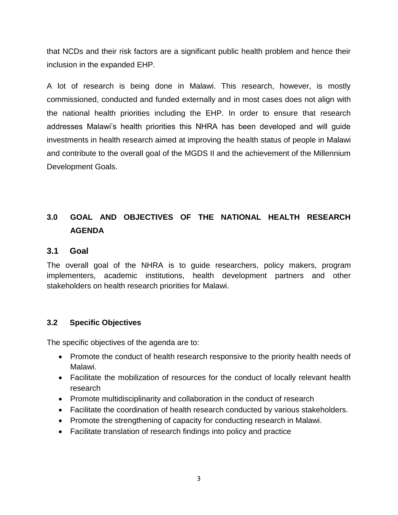that NCDs and their risk factors are a significant public health problem and hence their inclusion in the expanded EHP.

A lot of research is being done in Malawi. This research, however, is mostly commissioned, conducted and funded externally and in most cases does not align with the national health priorities including the EHP. In order to ensure that research addresses Malawi's health priorities this NHRA has been developed and will guide investments in health research aimed at improving the health status of people in Malawi and contribute to the overall goal of the MGDS II and the achievement of the Millennium Development Goals.

## <span id="page-11-0"></span>**3.0 GOAL AND OBJECTIVES OF THE NATIONAL HEALTH RESEARCH AGENDA**

#### **3.1 Goal**

<span id="page-11-1"></span>The overall goal of the NHRA is to guide researchers, policy makers, program implementers, academic institutions, health development partners and other stakeholders on health research priorities for Malawi.

#### **3.2 Specific Objectives**

<span id="page-11-2"></span>The specific objectives of the agenda are to:

- Promote the conduct of health research responsive to the priority health needs of Malawi.
- Facilitate the mobilization of resources for the conduct of locally relevant health research
- Promote multidisciplinarity and collaboration in the conduct of research
- Facilitate the coordination of health research conducted by various stakeholders.
- Promote the strengthening of capacity for conducting research in Malawi.
- Facilitate translation of research findings into policy and practice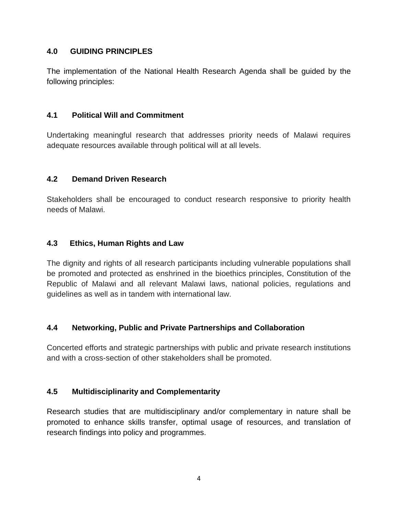#### **4.0 GUIDING PRINCIPLES**

<span id="page-12-0"></span>The implementation of the National Health Research Agenda shall be guided by the following principles:

#### **4.1 Political Will and Commitment**

<span id="page-12-1"></span>Undertaking meaningful research that addresses priority needs of Malawi requires adequate resources available through political will at all levels.

## **4.2 Demand Driven Research**

<span id="page-12-2"></span>Stakeholders shall be encouraged to conduct research responsive to priority health needs of Malawi.

## **4.3 Ethics, Human Rights and Law**

<span id="page-12-3"></span>The dignity and rights of all research participants including vulnerable populations shall be promoted and protected as enshrined in the bioethics principles, Constitution of the Republic of Malawi and all relevant Malawi laws, national policies, regulations and guidelines as well as in tandem with international law.

## **4.4 Networking, Public and Private Partnerships and Collaboration**

<span id="page-12-4"></span>Concerted efforts and strategic partnerships with public and private research institutions and with a cross-section of other stakeholders shall be promoted.

#### **4.5 Multidisciplinarity and Complementarity**

<span id="page-12-5"></span>Research studies that are multidisciplinary and/or complementary in nature shall be promoted to enhance skills transfer, optimal usage of resources, and translation of research findings into policy and programmes.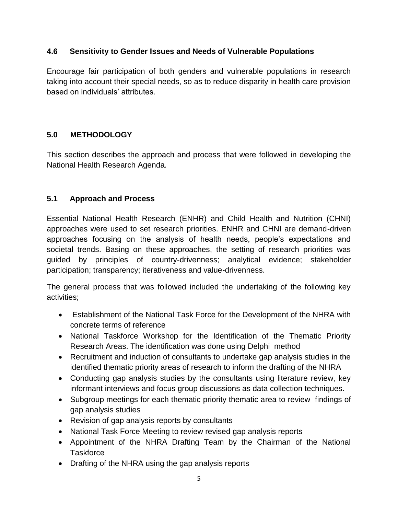#### **4.6 Sensitivity to Gender Issues and Needs of Vulnerable Populations**

<span id="page-13-0"></span>Encourage fair participation of both genders and vulnerable populations in research taking into account their special needs, so as to reduce disparity in health care provision based on individuals' attributes.

#### **5.0 METHODOLOGY**

<span id="page-13-1"></span>This section describes the approach and process that were followed in developing the National Health Research Agenda.

#### **5.1 Approach and Process**

<span id="page-13-2"></span>Essential National Health Research (ENHR) and Child Health and Nutrition (CHNI) approaches were used to set research priorities. ENHR and CHNI are demand-driven approaches focusing on the analysis of health needs, people's expectations and societal trends. Basing on these approaches, the setting of research priorities was guided by principles of country-drivenness; analytical evidence; stakeholder participation; transparency; iterativeness and value-drivenness.

The general process that was followed included the undertaking of the following key activities;

- Establishment of the National Task Force for the Development of the NHRA with concrete terms of reference
- National Taskforce Workshop for the Identification of the Thematic Priority Research Areas. The identification was done using Delphi method
- Recruitment and induction of consultants to undertake gap analysis studies in the identified thematic priority areas of research to inform the drafting of the NHRA
- Conducting gap analysis studies by the consultants using literature review, key informant interviews and focus group discussions as data collection techniques.
- Subgroup meetings for each thematic priority thematic area to review findings of gap analysis studies
- Revision of gap analysis reports by consultants
- National Task Force Meeting to review revised gap analysis reports
- Appointment of the NHRA Drafting Team by the Chairman of the National **Taskforce**
- Drafting of the NHRA using the gap analysis reports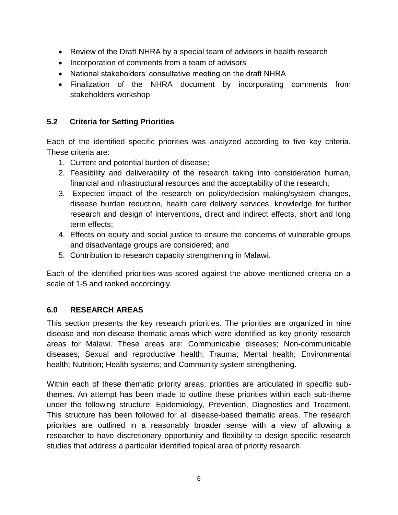- Review of the Draft NHRA by a special team of advisors in health research
- Incorporation of comments from a team of advisors
- National stakeholders' consultative meeting on the draft NHRA
- Finalization of the NHRA document by incorporating comments from stakeholders workshop

#### **5.2 Criteria for Setting Priorities**

<span id="page-14-0"></span>Each of the identified specific priorities was analyzed according to five key criteria. These criteria are:

- 1. Current and potential burden of disease;
- 2. Feasibility and deliverability of the research taking into consideration human, financial and infrastructural resources and the acceptability of the research;
- 3. Expected impact of the research on policy/decision making/system changes, disease burden reduction, health care delivery services, knowledge for further research and design of interventions, direct and indirect effects, short and long term effects;
- 4. Effects on equity and social justice to ensure the concerns of vulnerable groups and disadvantage groups are considered; and
- 5. Contribution to research capacity strengthening in Malawi.

Each of the identified priorities was scored against the above mentioned criteria on a scale of 1-5 and ranked accordingly.

#### **6.0 RESEARCH AREAS**

<span id="page-14-1"></span>This section presents the key research priorities. The priorities are organized in nine disease and non-disease thematic areas which were identified as key priority research areas for Malawi. These areas are: Communicable diseases; Non-communicable diseases; Sexual and reproductive health; Trauma; Mental health; Environmental health; Nutrition; Health systems; and Community system strengthening.

Within each of these thematic priority areas, priorities are articulated in specific subthemes. An attempt has been made to outline these priorities within each sub-theme under the following structure: Epidemiology, Prevention, Diagnostics and Treatment. This structure has been followed for all disease-based thematic areas. The research priorities are outlined in a reasonably broader sense with a view of allowing a researcher to have discretionary opportunity and flexibility to design specific research studies that address a particular identified topical area of priority research.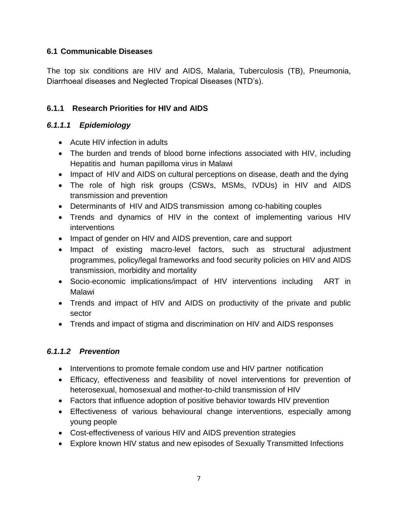#### **6.1 Communicable Diseases**

<span id="page-15-0"></span>The top six conditions are HIV and AIDS, Malaria, Tuberculosis (TB), Pneumonia, Diarrhoeal diseases and Neglected Tropical Diseases (NTD's).

## **6.1.1 Research Priorities for HIV and AIDS**

## *6.1.1.1 Epidemiology*

- <span id="page-15-1"></span>• Acute HIV infection in adults
- The burden and trends of blood borne infections associated with HIV, including Hepatitis and human papilloma virus in Malawi
- Impact of HIV and AIDS on cultural perceptions on disease, death and the dying
- The role of high risk groups (CSWs, MSMs, IVDUs) in HIV and AIDS transmission and prevention
- Determinants of HIV and AIDS transmission among co-habiting couples
- Trends and dynamics of HIV in the context of implementing various HIV interventions
- Impact of gender on HIV and AIDS prevention, care and support
- Impact of existing macro-level factors, such as structural adjustment programmes, policy/legal frameworks and food security policies on HIV and AIDS transmission, morbidity and mortality
- Socio‐economic implications/impact of HIV interventions including ART in Malawi
- Trends and impact of HIV and AIDS on productivity of the private and public sector
- Trends and impact of stigma and discrimination on HIV and AIDS responses

## *6.1.1.2 Prevention*

- Interventions to promote female condom use and HIV partner notification
- Efficacy, effectiveness and feasibility of novel interventions for prevention of heterosexual, homosexual and mother-to-child transmission of HIV
- Factors that influence adoption of positive behavior towards HIV prevention
- Effectiveness of various behavioural change interventions, especially among young people
- Cost-effectiveness of various HIV and AIDS prevention strategies
- Explore known HIV status and new episodes of Sexually Transmitted Infections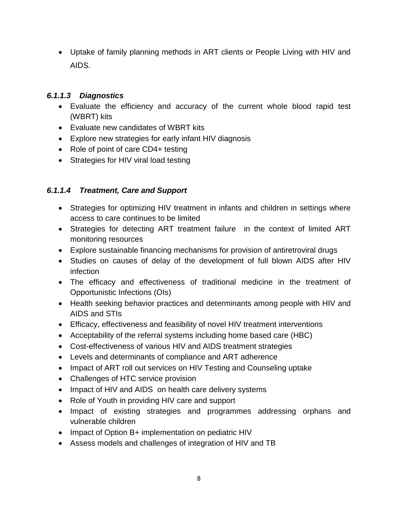Uptake of family planning methods in ART clients or People Living with HIV and AIDS.

#### *6.1.1.3 Diagnostics*

- Evaluate the efficiency and accuracy of the current whole blood rapid test (WBRT) kits
- Evaluate new candidates of WBRT kits
- Explore new strategies for early infant HIV diagnosis
- Role of point of care CD4+ testing
- Strategies for HIV viral load testing

## *6.1.1.4 Treatment, Care and Support*

- Strategies for optimizing HIV treatment in infants and children in settings where access to care continues to be limited
- Strategies for detecting ART treatment failure in the context of limited ART monitoring resources
- Explore sustainable financing mechanisms for provision of antiretroviral drugs
- Studies on causes of delay of the development of full blown AIDS after HIV infection
- The efficacy and effectiveness of traditional medicine in the treatment of Opportunistic Infections (OIs)
- Health seeking behavior practices and determinants among people with HIV and AIDS and STIs
- Efficacy, effectiveness and feasibility of novel HIV treatment interventions
- Acceptability of the referral systems including home based care (HBC)
- Cost-effectiveness of various HIV and AIDS treatment strategies
- Levels and determinants of compliance and ART adherence
- Impact of ART roll out services on HIV Testing and Counseling uptake
- Challenges of HTC service provision
- Impact of HIV and AIDS on health care delivery systems
- Role of Youth in providing HIV care and support
- Impact of existing strategies and programmes addressing orphans and vulnerable children
- Impact of Option B+ implementation on pediatric HIV
- Assess models and challenges of integration of HIV and TB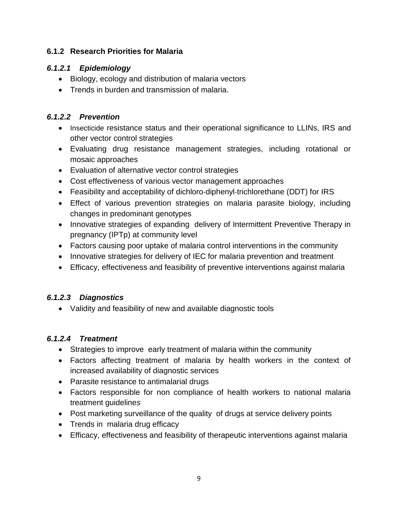## **6.1.2 Research Priorities for Malaria**

## *6.1.2.1 Epidemiology*

- <span id="page-17-0"></span>• Biology, ecology and distribution of malaria vectors
- Trends in burden and transmission of malaria.

## *6.1.2.2 Prevention*

- Insecticide resistance status and their operational significance to LLINs, IRS and other vector control strategies
- Evaluating drug resistance management strategies, including rotational or mosaic approaches
- Evaluation of alternative vector control strategies
- Cost effectiveness of various vector management approaches
- Feasibility and acceptability of dichloro‐diphenyl‐trichlorethane (DDT) for IRS
- Effect of various prevention strategies on malaria parasite biology, including changes in predominant genotypes
- Innovative strategies of expanding delivery of Intermittent Preventive Therapy in pregnancy (IPTp) at community level
- Factors causing poor uptake of malaria control interventions in the community
- Innovative strategies for delivery of IEC for malaria prevention and treatment
- Efficacy, effectiveness and feasibility of preventive interventions against malaria

## *6.1.2.3 Diagnostics*

Validity and feasibility of new and available diagnostic tools

## *6.1.2.4 Treatment*

- Strategies to improve early treatment of malaria within the community
- Factors affecting treatment of malaria by health workers in the context of increased availability of diagnostic services
- Parasite resistance to antimalarial drugs
- Factors responsible for non compliance of health workers to national malaria treatment guideline*s*
- Post marketing surveillance of the quality of drugs at service delivery points
- Trends in malaria drug efficacy
- Efficacy, effectiveness and feasibility of therapeutic interventions against malaria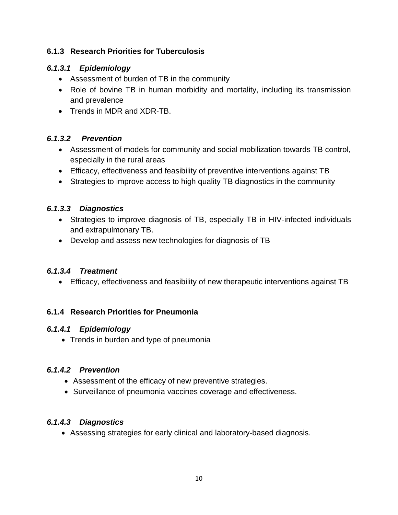## **6.1.3 Research Priorities for Tuberculosis**

## *6.1.3.1 Epidemiology*

- <span id="page-18-0"></span>Assessment of burden of TB in the community
- Role of bovine TB in human morbidity and mortality, including its transmission and prevalence
- Trends in MDR and XDR-TB.

## *6.1.3.2 Prevention*

- Assessment of models for community and social mobilization towards TB control, especially in the rural areas
- Efficacy, effectiveness and feasibility of preventive interventions against TB
- Strategies to improve access to high quality TB diagnostics in the community

## *6.1.3.3 Diagnostics*

- Strategies to improve diagnosis of TB, especially TB in HIV-infected individuals and extrapulmonary TB.
- Develop and assess new technologies for diagnosis of TB

#### *6.1.3.4 Treatment*

Efficacy, effectiveness and feasibility of new therapeutic interventions against TB

#### **6.1.4 Research Priorities for Pneumonia**

#### <span id="page-18-1"></span>*6.1.4.1 Epidemiology*

• Trends in burden and type of pneumonia

## *6.1.4.2 Prevention*

- Assessment of the efficacy of new preventive strategies.
- Surveillance of pneumonia vaccines coverage and effectiveness.

## *6.1.4.3 Diagnostics*

Assessing strategies for early clinical and laboratory-based diagnosis.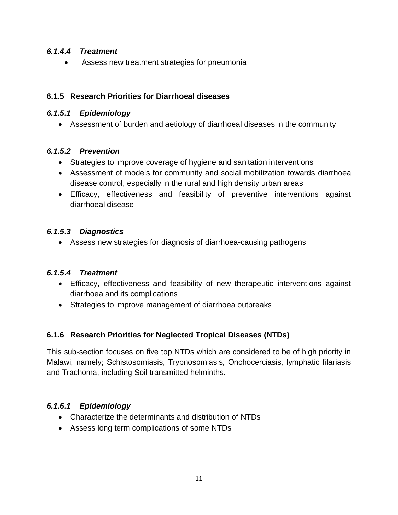#### *6.1.4.4 Treatment*

Assess new treatment strategies for pneumonia

#### **6.1.5 Research Priorities for Diarrhoeal diseases**

#### *6.1.5.1 Epidemiology*

Assessment of burden and aetiology of diarrhoeal diseases in the community

## *6.1.5.2 Prevention*

- Strategies to improve coverage of hygiene and sanitation interventions
- Assessment of models for community and social mobilization towards diarrhoea disease control, especially in the rural and high density urban areas
- Efficacy, effectiveness and feasibility of preventive interventions against diarrhoeal disease

## *6.1.5.3 Diagnostics*

Assess new strategies for diagnosis of diarrhoea-causing pathogens

#### *6.1.5.4 Treatment*

- Efficacy, effectiveness and feasibility of new therapeutic interventions against diarrhoea and its complications
- Strategies to improve management of diarrhoea outbreaks

## **6.1.6 Research Priorities for Neglected Tropical Diseases (NTDs)**

This sub-section focuses on five top NTDs which are considered to be of high priority in Malawi, namely; Schistosomiasis, Trypnosomiasis, Onchocerciasis, lymphatic filariasis and Trachoma, including Soil transmitted helminths.

## *6.1.6.1 Epidemiology*

- Characterize the determinants and distribution of NTDs
- Assess long term complications of some NTDs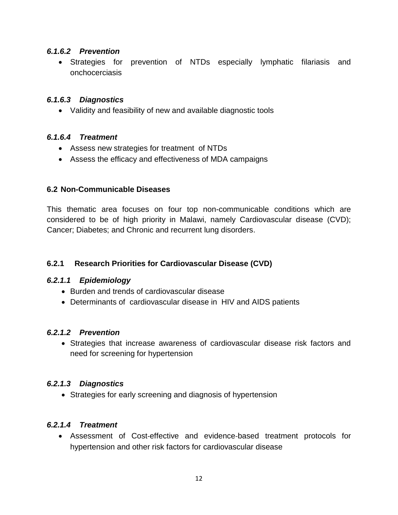#### *6.1.6.2 Prevention*

 Strategies for prevention of NTDs especially lymphatic filariasis and onchocerciasis

#### *6.1.6.3 Diagnostics*

Validity and feasibility of new and available diagnostic tools

#### *6.1.6.4 Treatment*

- Assess new strategies for treatment of NTDs
- Assess the efficacy and effectiveness of MDA campaigns

#### **6.2 Non-Communicable Diseases**

<span id="page-20-0"></span>This thematic area focuses on four top non-communicable conditions which are considered to be of high priority in Malawi, namely Cardiovascular disease (CVD); Cancer; Diabetes; and Chronic and recurrent lung disorders.

#### **6.2.1 Research Priorities for Cardiovascular Disease (CVD)**

#### *6.2.1.1 Epidemiology*

- <span id="page-20-1"></span>• Burden and trends of cardiovascular disease
- Determinants of cardiovascular disease in HIV and AIDS patients

#### *6.2.1.2 Prevention*

 Strategies that increase awareness of cardiovascular disease risk factors and need for screening for hypertension

#### *6.2.1.3 Diagnostics*

Strategies for early screening and diagnosis of hypertension

#### *6.2.1.4 Treatment*

 Assessment of Cost‐effective and evidence‐based treatment protocols for hypertension and other risk factors for cardiovascular disease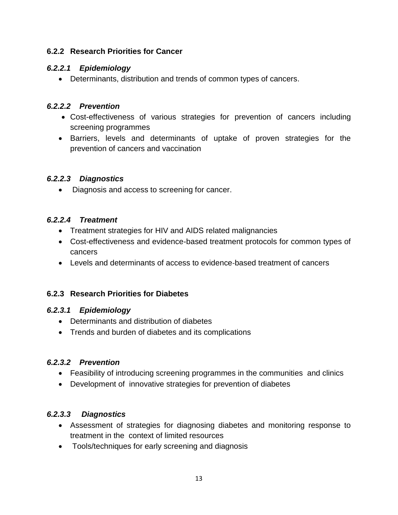#### **6.2.2 Research Priorities for Cancer**

#### *6.2.2.1 Epidemiology*

<span id="page-21-0"></span>Determinants, distribution and trends of common types of cancers.

## *6.2.2.2 Prevention*

- Cost-effectiveness of various strategies for prevention of cancers including screening programmes
- Barriers, levels and determinants of uptake of proven strategies for the prevention of cancers and vaccination

## *6.2.2.3 Diagnostics*

• Diagnosis and access to screening for cancer.

## *6.2.2.4 Treatment*

- Treatment strategies for HIV and AIDS related malignancies
- Cost-effectiveness and evidence-based treatment protocols for common types of cancers
- Levels and determinants of access to evidence-based treatment of cancers

## **6.2.3 Research Priorities for Diabetes**

#### *6.2.3.1 Epidemiology*

- <span id="page-21-1"></span>Determinants and distribution of diabetes
- Trends and burden of diabetes and its complications

## *6.2.3.2 Prevention*

- Feasibility of introducing screening programmes in the communities and clinics
- Development of innovative strategies for prevention of diabetes

## *6.2.3.3 Diagnostics*

- Assessment of strategies for diagnosing diabetes and monitoring response to treatment in the context of limited resources
- Tools/techniques for early screening and diagnosis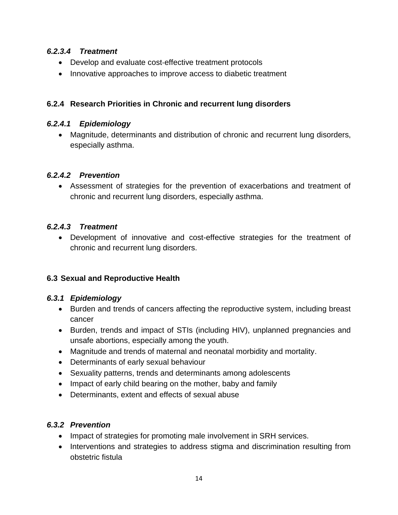#### *6.2.3.4 Treatment*

- Develop and evaluate cost-effective treatment protocols
- Innovative approaches to improve access to diabetic treatment

## **6.2.4 Research Priorities in Chronic and recurrent lung disorders**

#### *6.2.4.1 Epidemiology*

 Magnitude, determinants and distribution of chronic and recurrent lung disorders, especially asthma.

## *6.2.4.2 Prevention*

 Assessment of strategies for the prevention of exacerbations and treatment of chronic and recurrent lung disorders, especially asthma.

## *6.2.4.3 Treatment*

 Development of innovative and cost-effective strategies for the treatment of chronic and recurrent lung disorders.

## **6.3 Sexual and Reproductive Health**

#### <span id="page-22-0"></span>*6.3.1 Epidemiology*

- Burden and trends of cancers affecting the reproductive system, including breast cancer
- <span id="page-22-1"></span>• Burden, trends and impact of STIs (including HIV), unplanned pregnancies and unsafe abortions, especially among the youth.
- Magnitude and trends of maternal and neonatal morbidity and mortality.
- Determinants of early sexual behaviour
- Sexuality patterns, trends and determinants among adolescents
- Impact of early child bearing on the mother, baby and family
- Determinants, extent and effects of sexual abuse

## *6.3.2 Prevention*

- Impact of strategies for promoting male involvement in SRH services.
- <span id="page-22-2"></span>• Interventions and strategies to address stigma and discrimination resulting from obstetric fistula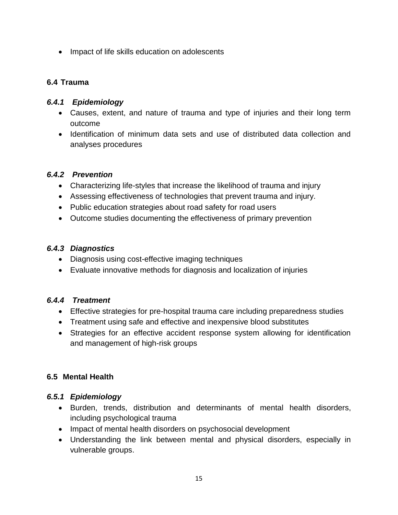• Impact of life skills education on adolescents

#### **6.4 Trauma**

#### <span id="page-23-0"></span>*6.4.1 Epidemiology*

- Causes, extent, and nature of trauma and type of injuries and their long term outcome
- <span id="page-23-1"></span>• Identification of minimum data sets and use of distributed data collection and analyses procedures

#### *6.4.2 Prevention*

- Characterizing life-styles that increase the likelihood of trauma and injury
- <span id="page-23-2"></span>Assessing effectiveness of technologies that prevent trauma and injury.
- Public education strategies about road safety for road users
- Outcome studies documenting the effectiveness of primary prevention

#### *6.4.3 Diagnostics*

- Diagnosis using cost-effective imaging techniques
- Evaluate innovative methods for diagnosis and localization of injuries

#### *6.4.4 Treatment*

- Effective strategies for pre-hospital trauma care including preparedness studies
- Treatment using safe and effective and inexpensive blood substitutes
- Strategies for an effective accident response system allowing for identification and management of high-risk groups

#### <span id="page-23-3"></span>**6.5 Mental Health**

#### <span id="page-23-4"></span>*6.5.1 Epidemiology*

- Burden, trends, distribution and determinants of mental health disorders, including psychological trauma
- <span id="page-23-5"></span>• Impact of mental health disorders on psychosocial development
- Understanding the link between mental and physical disorders, especially in vulnerable groups.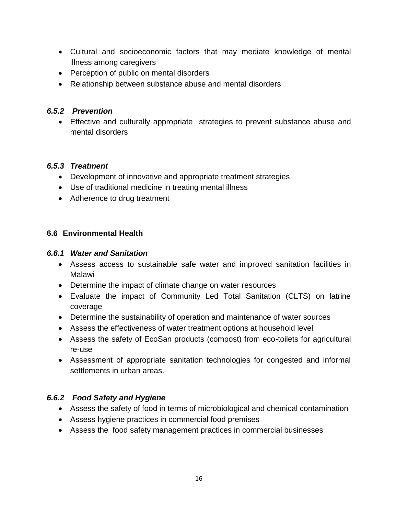- Cultural and socioeconomic factors that may mediate knowledge of mental illness among caregivers
- Perception of public on mental disorders
- Relationship between substance abuse and mental disorders

#### *6.5.2 Prevention*

<span id="page-24-0"></span> Effective and culturally appropriate strategies to prevent substance abuse and mental disorders

#### *6.5.3 Treatment*

- Development of innovative and appropriate treatment strategies
- Use of traditional medicine in treating mental illness
- <span id="page-24-1"></span>• Adherence to drug treatment

#### **6.6 Environmental Health**

#### <span id="page-24-2"></span>*6.6.1 Water and Sanitation*

- Assess access to sustainable safe water and improved sanitation facilities in Malawi
- <span id="page-24-3"></span>Determine the impact of climate change on water resources
- Evaluate the impact of Community Led Total Sanitation (CLTS) on latrine coverage
- Determine the sustainability of operation and maintenance of water sources
- Assess the effectiveness of water treatment options at household level
- Assess the safety of EcoSan products (compost) from eco-toilets for agricultural re-use
- Assessment of appropriate sanitation technologies for congested and informal settlements in urban areas.

#### *6.6.2 Food Safety and Hygiene*

- Assess the safety of food in terms of microbiological and chemical contamination
- Assess hygiene practices in commercial food premises
- <span id="page-24-4"></span>Assess the food safety management practices in commercial businesses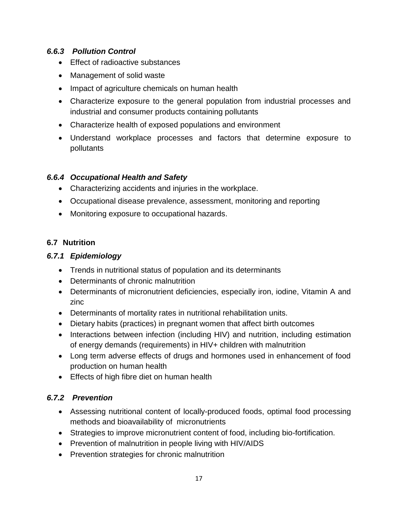## *6.6.3 Pollution Control*

- Effect of radioactive substances
- Management of solid waste
- <span id="page-25-0"></span>• Impact of agriculture chemicals on human health
- Characterize exposure to the general population from industrial processes and industrial and consumer products containing pollutants
- Characterize health of exposed populations and environment
- Understand workplace processes and factors that determine exposure to pollutants

## *6.6.4 Occupational Health and Safety*

- Characterizing accidents and injuries in the workplace.
- <span id="page-25-1"></span>Occupational disease prevalence, assessment, monitoring and reporting
- Monitoring exposure to occupational hazards.

## **6.7 Nutrition**

## *6.7.1 Epidemiology*

- <span id="page-25-2"></span>Trends in nutritional status of population and its determinants
- Determinants of chronic malnutrition
- <span id="page-25-3"></span> Determinants of micronutrient deficiencies, especially iron, iodine, Vitamin A and zinc
- Determinants of mortality rates in nutritional rehabilitation units.
- Dietary habits (practices) in pregnant women that affect birth outcomes
- Interactions between infection (including HIV) and nutrition, including estimation of energy demands (requirements) in HIV+ children with malnutrition
- Long term adverse effects of drugs and hormones used in enhancement of food production on human health
- **Effects of high fibre diet on human health**

#### *6.7.2 Prevention*

- Assessing nutritional content of locally-produced foods, optimal food processing methods and bioavailability of micronutrients
- <span id="page-25-4"></span>Strategies to improve micronutrient content of food, including bio-fortification.
- Prevention of malnutrition in people living with HIV/AIDS
- Prevention strategies for chronic malnutrition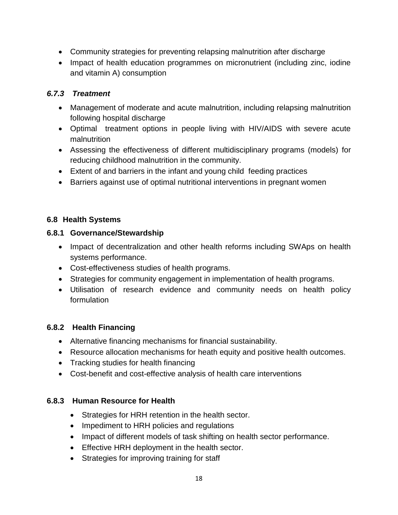- Community strategies for preventing relapsing malnutrition after discharge
- Impact of health education programmes on micronutrient (including zinc, iodine and vitamin A) consumption

#### *6.7.3 Treatment*

- Management of moderate and acute malnutrition, including relapsing malnutrition following hospital discharge
- <span id="page-26-0"></span> Optimal treatment options in people living with HIV/AIDS with severe acute malnutrition
- Assessing the effectiveness of different multidisciplinary programs (models) for reducing childhood malnutrition in the community.
- Extent of and barriers in the infant and young child feeding practices
- Barriers against use of optimal nutritional interventions in pregnant women

## **6.8 Health Systems**

#### <span id="page-26-1"></span>**6.8.1 Governance/Stewardship**

- Impact of decentralization and other health reforms including SWAps on health systems performance.
- <span id="page-26-2"></span>Cost-effectiveness studies of health programs.
- Strategies for community engagement in implementation of health programs.
- Utilisation of research evidence and community needs on health policy formulation

## **6.8.2 Health Financing**

- Alternative financing mechanisms for financial sustainability.
- Resource allocation mechanisms for heath equity and positive health outcomes.
- <span id="page-26-3"></span>• Tracking studies for health financing
- Cost-benefit and cost-effective analysis of health care interventions

#### **6.8.3 Human Resource for Health**

- Strategies for HRH retention in the health sector.
- Impediment to HRH policies and regulations
- <span id="page-26-4"></span>• Impact of different models of task shifting on health sector performance.
- **Effective HRH deployment in the health sector.**
- Strategies for improving training for staff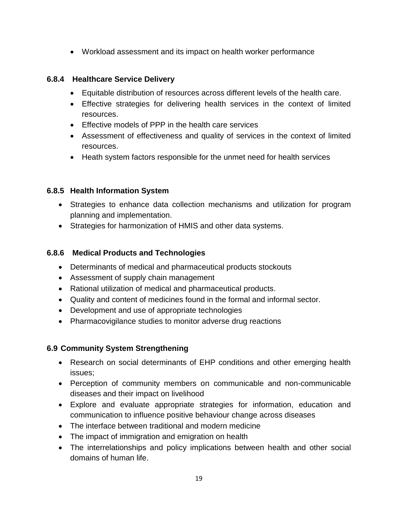Workload assessment and its impact on health worker performance

#### **6.8.4 Healthcare Service Delivery**

- Equitable distribution of resources across different levels of the health care.
- <span id="page-27-0"></span> Effective strategies for delivering health services in the context of limited resources.
- Effective models of PPP in the health care services
- Assessment of effectiveness and quality of services in the context of limited resources.
- Heath system factors responsible for the unmet need for health services

## **6.8.5 Health Information System**

- Strategies to enhance data collection mechanisms and utilization for program planning and implementation.
- <span id="page-27-1"></span>Strategies for harmonization of HMIS and other data systems.

## **6.8.6 Medical Products and Technologies**

- Determinants of medical and pharmaceutical products stockouts
- Assessment of supply chain management
- <span id="page-27-2"></span>Rational utilization of medical and pharmaceutical products.
- Quality and content of medicines found in the formal and informal sector.
- Development and use of appropriate technologies
- Pharmacovigilance studies to monitor adverse drug reactions

## **6.9 Community System Strengthening**

- Research on social determinants of EHP conditions and other emerging health issues;
- Perception of community members on communicable and non-communicable diseases and their impact on livelihood
- Explore and evaluate appropriate strategies for information, education and communication to influence positive behaviour change across diseases
- The interface between traditional and modern medicine
- The impact of immigration and emigration on health
- The interrelationships and policy implications between health and other social domains of human life.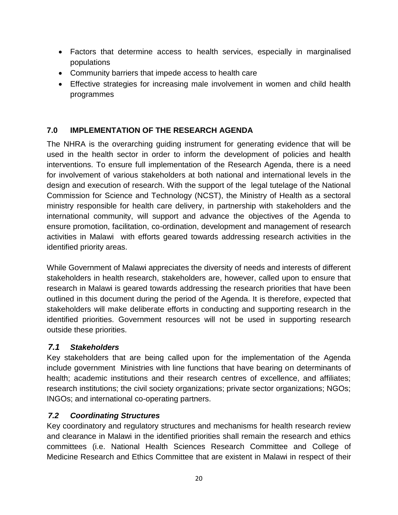- Factors that determine access to health services, especially in marginalised populations
- Community barriers that impede access to health care
- Effective strategies for increasing male involvement in women and child health programmes

## **7.0 IMPLEMENTATION OF THE RESEARCH AGENDA**

<span id="page-28-0"></span>The NHRA is the overarching guiding instrument for generating evidence that will be used in the health sector in order to inform the development of policies and health interventions. To ensure full implementation of the Research Agenda, there is a need for involvement of various stakeholders at both national and international levels in the design and execution of research. With the support of the legal tutelage of the National Commission for Science and Technology (NCST), the Ministry of Health as a sectoral ministry responsible for health care delivery, in partnership with stakeholders and the international community, will support and advance the objectives of the Agenda to ensure promotion, facilitation, co-ordination, development and management of research activities in Malawi with efforts geared towards addressing research activities in the identified priority areas.

While Government of Malawi appreciates the diversity of needs and interests of different stakeholders in health research, stakeholders are, however, called upon to ensure that research in Malawi is geared towards addressing the research priorities that have been outlined in this document during the period of the Agenda. It is therefore, expected that stakeholders will make deliberate efforts in conducting and supporting research in the identified priorities. Government resources will not be used in supporting research outside these priorities.

## *7.1 Stakeholders*

<span id="page-28-1"></span>Key stakeholders that are being called upon for the implementation of the Agenda include government Ministries with line functions that have bearing on determinants of health; academic institutions and their research centres of excellence, and affiliates; research institutions; the civil society organizations; private sector organizations; NGOs; INGOs; and international co-operating partners.

## *7.2 Coordinating Structures*

<span id="page-28-2"></span>Key coordinatory and regulatory structures and mechanisms for health research review and clearance in Malawi in the identified priorities shall remain the research and ethics committees (i.e. National Health Sciences Research Committee and College of Medicine Research and Ethics Committee that are existent in Malawi in respect of their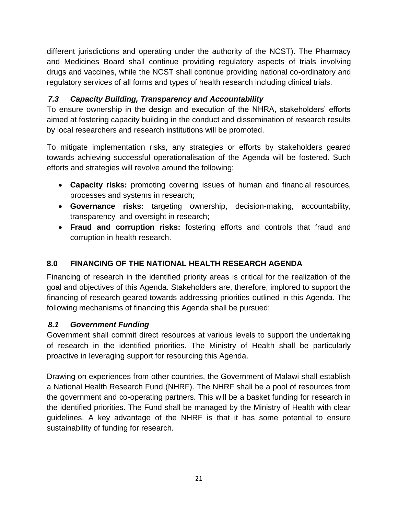different jurisdictions and operating under the authority of the NCST). The Pharmacy and Medicines Board shall continue providing regulatory aspects of trials involving drugs and vaccines, while the NCST shall continue providing national co-ordinatory and regulatory services of all forms and types of health research including clinical trials.

## *7.3 Capacity Building, Transparency and Accountability*

To ensure ownership in the design and execution of the NHRA, stakeholders' efforts aimed at fostering capacity building in the conduct and dissemination of research results by local researchers and research institutions will be promoted.

<span id="page-29-0"></span>To mitigate implementation risks, any strategies or efforts by stakeholders geared towards achieving successful operationalisation of the Agenda will be fostered. Such efforts and strategies will revolve around the following;

- **Capacity risks:** promoting covering issues of human and financial resources, processes and systems in research;
- **Governance risks:** targeting ownership, decision-making, accountability, transparency and oversight in research;
- **Fraud and corruption risks:** fostering efforts and controls that fraud and corruption in health research.

## **8.0 FINANCING OF THE NATIONAL HEALTH RESEARCH AGENDA**

<span id="page-29-1"></span>Financing of research in the identified priority areas is critical for the realization of the goal and objectives of this Agenda. Stakeholders are, therefore, implored to support the financing of research geared towards addressing priorities outlined in this Agenda. The following mechanisms of financing this Agenda shall be pursued:

## *8.1 Government Funding*

<span id="page-29-2"></span>Government shall commit direct resources at various levels to support the undertaking of research in the identified priorities. The Ministry of Health shall be particularly proactive in leveraging support for resourcing this Agenda.

Drawing on experiences from other countries, the Government of Malawi shall establish a National Health Research Fund (NHRF). The NHRF shall be a pool of resources from the government and co-operating partners. This will be a basket funding for research in the identified priorities. The Fund shall be managed by the Ministry of Health with clear guidelines. A key advantage of the NHRF is that it has some potential to ensure sustainability of funding for research.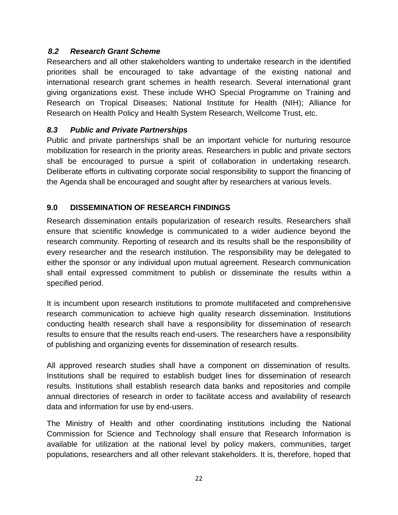## *8.2 Research Grant Scheme*

<span id="page-30-0"></span>Researchers and all other stakeholders wanting to undertake research in the identified priorities shall be encouraged to take advantage of the existing national and international research grant schemes in health research. Several international grant giving organizations exist. These include WHO Special Programme on Training and Research on Tropical Diseases; National Institute for Health (NIH); Alliance for Research on Health Policy and Health System Research, Wellcome Trust, etc.

#### *8.3 Public and Private Partnerships*

<span id="page-30-1"></span>Public and private partnerships shall be an important vehicle for nurturing resource mobilization for research in the priority areas. Researchers in public and private sectors shall be encouraged to pursue a spirit of collaboration in undertaking research. Deliberate efforts in cultivating corporate social responsibility to support the financing of the Agenda shall be encouraged and sought after by researchers at various levels.

## **9.0 DISSEMINATION OF RESEARCH FINDINGS**

<span id="page-30-2"></span>Research dissemination entails popularization of research results. Researchers shall ensure that scientific knowledge is communicated to a wider audience beyond the research community. Reporting of research and its results shall be the responsibility of every researcher and the research institution. The responsibility may be delegated to either the sponsor or any individual upon mutual agreement. Research communication shall entail expressed commitment to publish or disseminate the results within a specified period.

It is incumbent upon research institutions to promote multifaceted and comprehensive research communication to achieve high quality research dissemination. Institutions conducting health research shall have a responsibility for dissemination of research results to ensure that the results reach end-users. The researchers have a responsibility of publishing and organizing events for dissemination of research results.

All approved research studies shall have a component on dissemination of results. Institutions shall be required to establish budget lines for dissemination of research results. Institutions shall establish research data banks and repositories and compile annual directories of research in order to facilitate access and availability of research data and information for use by end-users.

The Ministry of Health and other coordinating institutions including the National Commission for Science and Technology shall ensure that Research Information is available for utilization at the national level by policy makers, communities, target populations, researchers and all other relevant stakeholders. It is, therefore, hoped that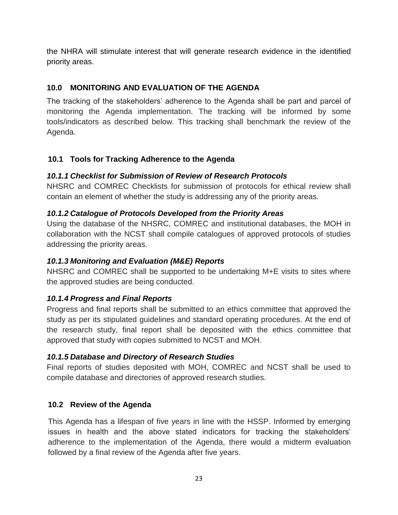the NHRA will stimulate interest that will generate research evidence in the identified priority areas.

## **10.0 MONITORING AND EVALUATION OF THE AGENDA**

<span id="page-31-0"></span>The tracking of the stakeholders' adherence to the Agenda shall be part and parcel of monitoring the Agenda implementation. The tracking will be informed by some tools/indicators as described below. This tracking shall benchmark the review of the Agenda.

## **10.1 Tools for Tracking Adherence to the Agenda**

## *10.1.1 Checklist for Submission of Review of Research Protocols*

<span id="page-31-1"></span>NHSRC and COMREC Checklists for submission of protocols for ethical review shall contain an element of whether the study is addressing any of the priority areas.

## <span id="page-31-2"></span>*10.1.2 Catalogue of Protocols Developed from the Priority Areas*

<span id="page-31-3"></span>Using the database of the NHSRC, COMREC and institutional databases, the MOH in collaboration with the NCST shall compile catalogues of approved protocols of studies addressing the priority areas.

## *10.1.3 Monitoring and Evaluation (M&E) Reports*

NHSRC and COMREC shall be supported to be undertaking M+E visits to sites where the approved studies are being conducted.

## <span id="page-31-4"></span>*10.1.4 Progress and Final Reports*

<span id="page-31-5"></span>Progress and final reports shall be submitted to an ethics committee that approved the study as per its stipulated guidelines and standard operating procedures. At the end of the research study, final report shall be deposited with the ethics committee that approved that study with copies submitted to NCST and MOH.

## *10.1.5 Database and Directory of Research Studies*

<span id="page-31-6"></span>Final reports of studies deposited with MOH, COMREC and NCST shall be used to compile database and directories of approved research studies.

## **10.2 Review of the Agenda**

<span id="page-31-7"></span>This Agenda has a lifespan of five years in line with the HSSP. Informed by emerging issues in health and the above stated indicators for tracking the stakeholders' adherence to the implementation of the Agenda, there would a midterm evaluation followed by a final review of the Agenda after five years.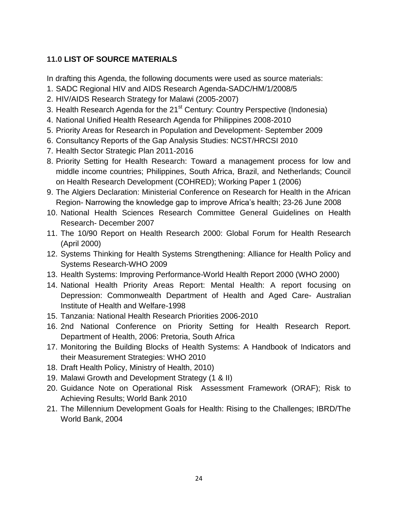## **11.0 LIST OF SOURCE MATERIALS**

<span id="page-32-0"></span>In drafting this Agenda, the following documents were used as source materials:

- 1. SADC Regional HIV and AIDS Research Agenda-SADC/HM/1/2008/5
- 2. HIV/AIDS Research Strategy for Malawi (2005-2007)
- 3. Health Research Agenda for the 21<sup>st</sup> Century: Country Perspective (Indonesia)
- 4. National Unified Health Research Agenda for Philippines 2008-2010
- 5. Priority Areas for Research in Population and Development- September 2009
- 6. Consultancy Reports of the Gap Analysis Studies: NCST/HRCSI 2010
- 7. Health Sector Strategic Plan 2011-2016
- 8. Priority Setting for Health Research: Toward a management process for low and middle income countries; Philippines, South Africa, Brazil, and Netherlands; Council on Health Research Development (COHRED); Working Paper 1 (2006)
- 9. The Algiers Declaration: Ministerial Conference on Research for Health in the African Region- Narrowing the knowledge gap to improve Africa's health; 23-26 June 2008
- 10. National Health Sciences Research Committee General Guidelines on Health Research- December 2007
- 11. The 10/90 Report on Health Research 2000: Global Forum for Health Research (April 2000)
- 12. Systems Thinking for Health Systems Strengthening: Alliance for Health Policy and Systems Research-WHO 2009
- 13. Health Systems: Improving Performance-World Health Report 2000 (WHO 2000)
- 14. National Health Priority Areas Report: Mental Health: A report focusing on Depression: Commonwealth Department of Health and Aged Care- Australian Institute of Health and Welfare-1998
- 15. Tanzania: National Health Research Priorities 2006-2010
- 16. 2nd National Conference on Priority Setting for Health Research Report. Department of Health, 2006: Pretoria, South Africa
- 17. Monitoring the Building Blocks of Health Systems: A Handbook of Indicators and their Measurement Strategies: WHO 2010
- 18. Draft Health Policy, Ministry of Health, 2010)
- 19. Malawi Growth and Development Strategy (1 & II)
- 20. Guidance Note on Operational Risk Assessment Framework (ORAF); Risk to Achieving Results; World Bank 2010
- 21. The Millennium Development Goals for Health: Rising to the Challenges; IBRD/The World Bank, 2004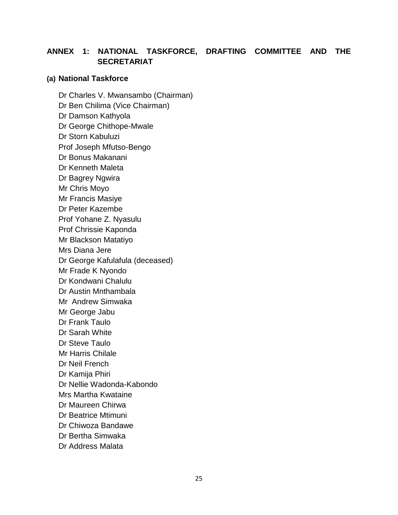## **ANNEX 1: NATIONAL TASKFORCE, DRAFTING COMMITTEE AND THE SECRETARIAT**

#### **(a) National Taskforce**

Dr Charles V. Mwansambo (Chairman) Dr Ben Chilima (Vice Chairman) Dr Damson Kathyola Dr George Chithope-Mwale Dr Storn Kabuluzi Prof Joseph Mfutso-Bengo Dr Bonus Makanani Dr Kenneth Maleta Dr Bagrey Ngwira Mr Chris Moyo Mr Francis Masiye Dr Peter Kazembe Prof Yohane Z. Nyasulu Prof Chrissie Kaponda Mr Blackson Matatiyo Mrs Diana Jere Dr George Kafulafula (deceased) Mr Frade K Nyondo Dr Kondwani Chalulu Dr Austin Mnthambala Mr Andrew Simwaka Mr George Jabu Dr Frank Taulo Dr Sarah White Dr Steve Taulo Mr Harris Chilale Dr Neil French Dr Kamija Phiri Dr Nellie Wadonda-Kabondo Mrs Martha Kwataine Dr Maureen Chirwa Dr Beatrice Mtimuni Dr Chiwoza Bandawe Dr Bertha Simwaka Dr Address Malata